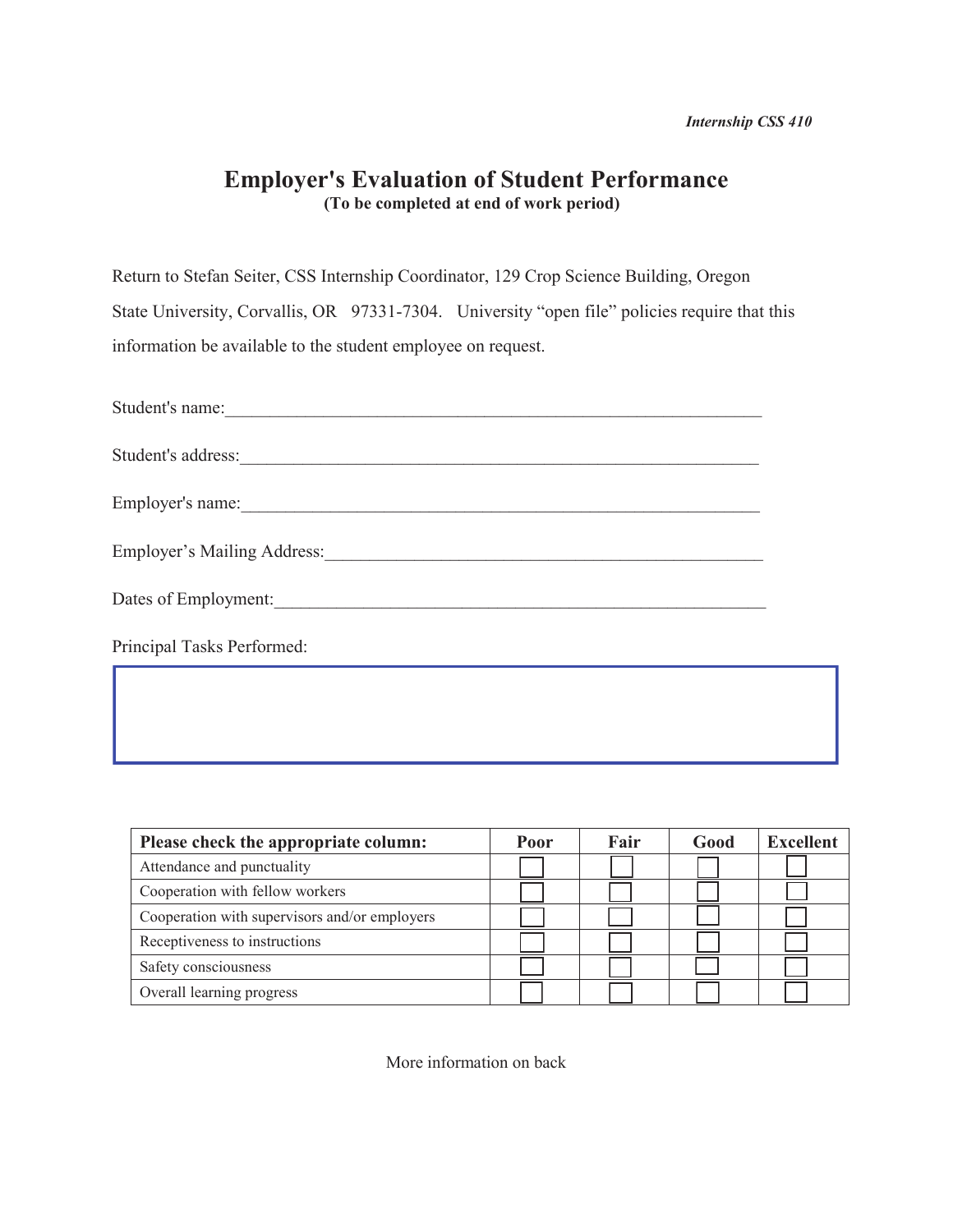## **Employer's Evaluation of Student Performance (To be completed at end of work period)**

Return to Stefan Seiter, CSS Internship Coordinator, 129 Crop Science Building, Oregon State University, Corvallis, OR 97331-7304. University "open file" policies require that this information be available to the student employee on request.

| Student's name:             |
|-----------------------------|
| Student's address:          |
| Employer's name:            |
| Employer's Mailing Address: |
| Dates of Employment:        |
| Principal Tasks Performed:  |
|                             |

| Please check the appropriate column:          | Poor | Fair | Good | <b>Excellent</b> |
|-----------------------------------------------|------|------|------|------------------|
| Attendance and punctuality                    |      |      |      |                  |
| Cooperation with fellow workers               |      |      |      |                  |
| Cooperation with supervisors and/or employers |      |      |      |                  |
| Receptiveness to instructions                 |      |      |      |                  |
| Safety consciousness                          |      |      |      |                  |
| Overall learning progress                     |      |      |      |                  |

More information on back